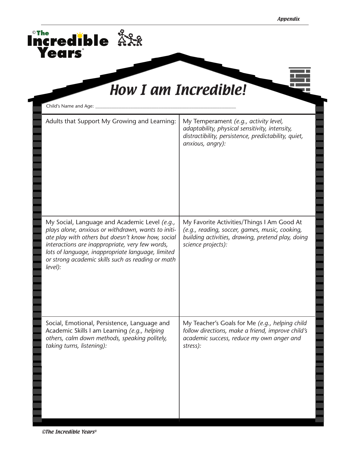| Child's Name and Age:                                                                                                                                                                                                                                                                                                            |                                                                                                                                                                         |
|----------------------------------------------------------------------------------------------------------------------------------------------------------------------------------------------------------------------------------------------------------------------------------------------------------------------------------|-------------------------------------------------------------------------------------------------------------------------------------------------------------------------|
| Adults that Support My Growing and Learning:                                                                                                                                                                                                                                                                                     | My Temperament (e.g., activity level,<br>adaptability, physical sensitivity, intensity,<br>distractibility, persistence, predictability, quiet,<br>anxious, angry):     |
| My Social, Language and Academic Level (e.g.,<br>plays alone, anxious or withdrawn, wants to initi-<br>ate play with others but doesn't know how, social<br>interactions are inappropriate, very few words,<br>lots of language, inappropriate language, limited<br>or strong academic skills such as reading or math<br>level): | My Favorite Activities/Things I Am Good At<br>(e.g., reading, soccer, games, music, cooking,<br>building activities, drawing, pretend play, doing<br>science projects): |
| Social, Emotional, Persistence, Language and<br>Academic Skills I am Learning (e.g., helping<br>others, calm down methods, speaking politely,<br>taking turns, listening):                                                                                                                                                       | My Teacher's Goals for Me (e.g., helping child<br>follow directions, make a friend, improve child's<br>academic success, reduce my own anger and<br>stress):            |